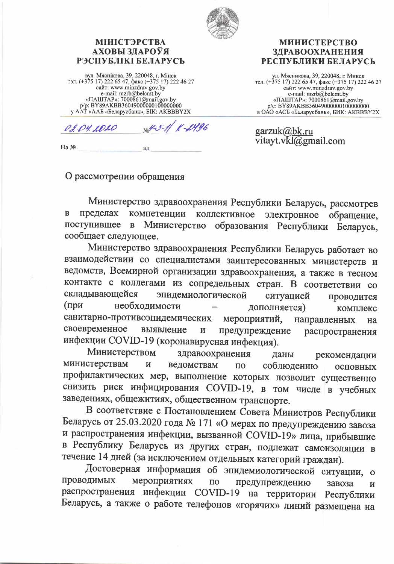

## **МІНІСТЭРСТВА** АХОВЫ ЗДАРОЎЯ РЭСПУБЛІКІ БЕЛАРУСЬ

вул. Мяснікова, 39, 220048, г. Мінск<br>
тэл. (+375 17) 222 65 47, факс (+375 17) 222 46 27<br>
сайт: www.minzdrav.gov.by<br>
e-mail: mzrb@belcmt.by «ПАШТАР»: 7000861@mail.gov.by p/p: BY89AKBB360490000001000000000 у ААТ «ААБ «Беларусбанк», БІК: АКВВВҮ2Х

**ЗЛРАВООХРАНЕНИЯ** РЕСПУБЛИКИ БЕЛАРУСЬ

**МИНИСТЕРСТВО** 

ул. Мясникова, 39, 220048, г. Минск<br>тел. (+375 17) 222 65 47, факс (+375 17) 222 46 27 сайт: www.minzdrav.gov.by e-mail: mzrb@belcmt.by «ПАШТАР»: 7000861@mail.gov.by p/c: BY89AKBB360490000001000000000 в ОАО «АСБ «Беларусбанк», БИК: АКВВВҮ2Х

garzuk@bk.ru

vitayt.vkl@gmail.com

-1496 02.04.1020

ад

Ha No

## О рассмотрении обращения

Министерство здравоохранения Республики Беларусь, рассмотрев B пределах компетенции коллективное электронное обращение, Министерство поступившее  $\overline{B}$ образования Республики Беларусь, сообщает следующее.

Министерство здравоохранения Республики Беларусь работает во взаимодействии со специалистами заинтересованных министерств и ведомств, Всемирной организации здравоохранения, а также в тесном контакте с коллегами из сопредельных стран. В соответствии со складывающейся эпидемиологической ситуацией проводится необходимости  $(np)$ дополняется) комплекс санитарно-противоэпидемических мероприятий, направленных на своевременное предупреждение выявление  $\overline{\mathbf{M}}$ распространения инфекции COVID-19 (коронавирусная инфекция).

Министерством здравоохранения даны рекомендации министерствам И ведомствам  $\overline{a}$ соблюдению основных профилактических мер, выполнение которых позволит существенно снизить риск инфицирования COVID-19, в том числе в учебных заведениях, общежитиях, общественном транспорте.

В соответствие с Постановлением Совета Министров Республики Беларусь от 25.03.2020 года № 171 «О мерах по предупреждению завоза и распространения инфекции, вызванной COVID-19» лица, прибывшие в Республику Беларусь из других стран, подлежат самоизоляции в течение 14 дней (за исключением отдельных категорий граждан).

Достоверная информация об эпидемиологической ситуации,  $\mathbf{o}$ проводимых мероприятиях  $\Pi{\rm O}$ предупреждению завоза И распространения инфекции COVID-19 на территории Республики Беларусь, а также о работе телефонов «горячих» линий размещена на